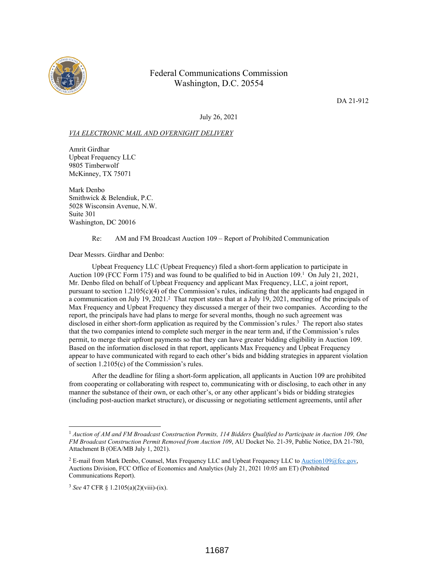

## Federal Communications Commission Washington, D.C. 20554

DA 21-912

July 26, 2021

## *VIA ELECTRONIC MAIL AND OVERNIGHT DELIVERY*

Amrit Girdhar Upbeat Frequency LLC 9805 Timberwolf McKinney, TX 75071

Mark Denbo Smithwick & Belendiuk, P.C. 5028 Wisconsin Avenue, N.W. Suite 301 Washington, DC 20016

Re: AM and FM Broadcast Auction 109 – Report of Prohibited Communication

Dear Messrs. Girdhar and Denbo:

Upbeat Frequency LLC (Upbeat Frequency) filed a short-form application to participate in Auction 109 (FCC Form 175) and was found to be qualified to bid in Auction  $109<sup>1</sup>$  On July 21, 2021, Mr. Denbo filed on behalf of Upbeat Frequency and applicant Max Frequency, LLC, a joint report, pursuant to section  $1.2105(c)(4)$  of the Commission's rules, indicating that the applicants had engaged in a communication on July 19, 2021.<sup>2</sup> That report states that at a July 19, 2021, meeting of the principals of Max Frequency and Upbeat Frequency they discussed a merger of their two companies. According to the report, the principals have had plans to merge for several months, though no such agreement was disclosed in either short-form application as required by the Commission's rules.<sup>3</sup> The report also states that the two companies intend to complete such merger in the near term and, if the Commission's rules permit, to merge their upfront payments so that they can have greater bidding eligibility in Auction 109. Based on the information disclosed in that report, applicants Max Frequency and Upbeat Frequency appear to have communicated with regard to each other's bids and bidding strategies in apparent violation of section 1.2105(c) of the Commission's rules.

After the deadline for filing a short-form application, all applicants in Auction 109 are prohibited from cooperating or collaborating with respect to, communicating with or disclosing, to each other in any manner the substance of their own, or each other's, or any other applicant's bids or bidding strategies (including post-auction market structure), or discussing or negotiating settlement agreements, until after

<sup>1</sup> *Auction of AM and FM Broadcast Construction Permits, 114 Bidders Qualified to Participate in Auction 109, One FM Broadcast Construction Permit Removed from Auction 109*, AU Docket No. 21-39, Public Notice, DA 21-780, Attachment B (OEA/MB July 1, 2021).

<sup>&</sup>lt;sup>2</sup> E-mail from Mark Denbo, Counsel, Max Frequency LLC and Upbeat Frequency LLC to Auction109@fcc.gov, Auctions Division, FCC Office of Economics and Analytics (July 21, 2021 10:05 am ET) (Prohibited Communications Report).

<sup>3</sup> *See* 47 CFR § 1.2105(a)(2)(viii)-(ix).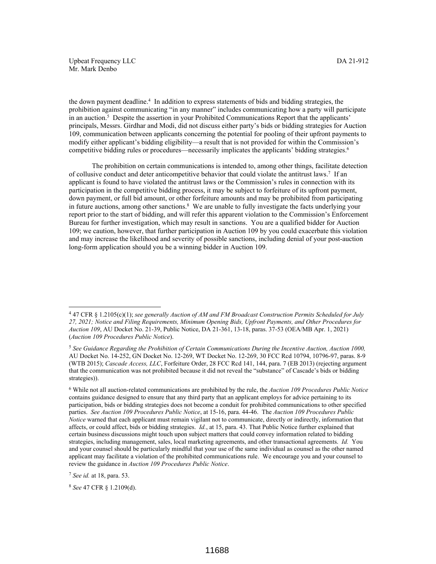Upbeat Frequency LLC DA 21-912 Mr. Mark Denbo

the down payment deadline.<sup>4</sup> In addition to express statements of bids and bidding strategies, the prohibition against communicating "in any manner" includes communicating how a party will participate in an auction.<sup>5</sup> Despite the assertion in your Prohibited Communications Report that the applicants' principals, Messrs. Girdhar and Modi, did not discuss either party's bids or bidding strategies for Auction 109, communication between applicants concerning the potential for pooling of their upfront payments to modify either applicant's bidding eligibility—a result that is not provided for within the Commission's competitive bidding rules or procedures—necessarily implicates the applicants' bidding strategies.<sup>6</sup>

The prohibition on certain communications is intended to, among other things, facilitate detection of collusive conduct and deter anticompetitive behavior that could violate the antitrust laws.<sup>7</sup> If an applicant is found to have violated the antitrust laws or the Commission's rules in connection with its participation in the competitive bidding process, it may be subject to forfeiture of its upfront payment, down payment, or full bid amount, or other forfeiture amounts and may be prohibited from participating in future auctions, among other sanctions.<sup>8</sup> We are unable to fully investigate the facts underlying your report prior to the start of bidding, and will refer this apparent violation to the Commission's Enforcement Bureau for further investigation, which may result in sanctions. You are a qualified bidder for Auction 109; we caution, however, that further participation in Auction 109 by you could exacerbate this violation and may increase the likelihood and severity of possible sanctions, including denial of your post-auction long-form application should you be a winning bidder in Auction 109.

<sup>8</sup> *See* 47 CFR § 1.2109(d).

<sup>4</sup> 47 CFR § 1.2105(c)(1); *see generally Auction of AM and FM Broadcast Construction Permits Scheduled for July 27, 2021; Notice and Filing Requirements, Minimum Opening Bids, Upfront Payments, and Other Procedures for Auction 109*, AU Docket No. 21-39, Public Notice, DA 21-361, 13-18, paras. 37-53 (OEA/MB Apr. 1, 2021) (*Auction 109 Procedures Public Notice*).

<sup>5</sup> *See Guidance Regarding the Prohibition of Certain Communications During the Incentive Auction, Auction 1000,* AU Docket No. 14-252, GN Docket No. 12-269, WT Docket No. 12-269, 30 FCC Rcd 10794, 10796-97, paras. 8-9 (WTB 2015); *Cascade Access, LLC*, Forfeiture Order, 28 FCC Rcd 141, 144, para. 7 (EB 2013) (rejecting argument that the communication was not prohibited because it did not reveal the "substance" of Cascade's bids or bidding strategies)).

<sup>6</sup> While not all auction-related communications are prohibited by the rule, the *Auction 109 Procedures Public Notice* contains guidance designed to ensure that any third party that an applicant employs for advice pertaining to its participation, bids or bidding strategies does not become a conduit for prohibited communications to other specified parties. *See Auction 109 Procedures Public Notice*, at 15-16, para. 44-46. The *Auction 109 Procedures Public Notice* warned that each applicant must remain vigilant not to communicate, directly or indirectly, information that affects, or could affect, bids or bidding strategies. *Id.*, at 15, para. 43. That Public Notice further explained that certain business discussions might touch upon subject matters that could convey information related to bidding strategies, including management, sales, local marketing agreements, and other transactional agreements. *Id.* You and your counsel should be particularly mindful that your use of the same individual as counsel as the other named applicant may facilitate a violation of the prohibited communications rule. We encourage you and your counsel to review the guidance in *Auction 109 Procedures Public Notice*.

<sup>7</sup> *See id.* at 18, para. 53.